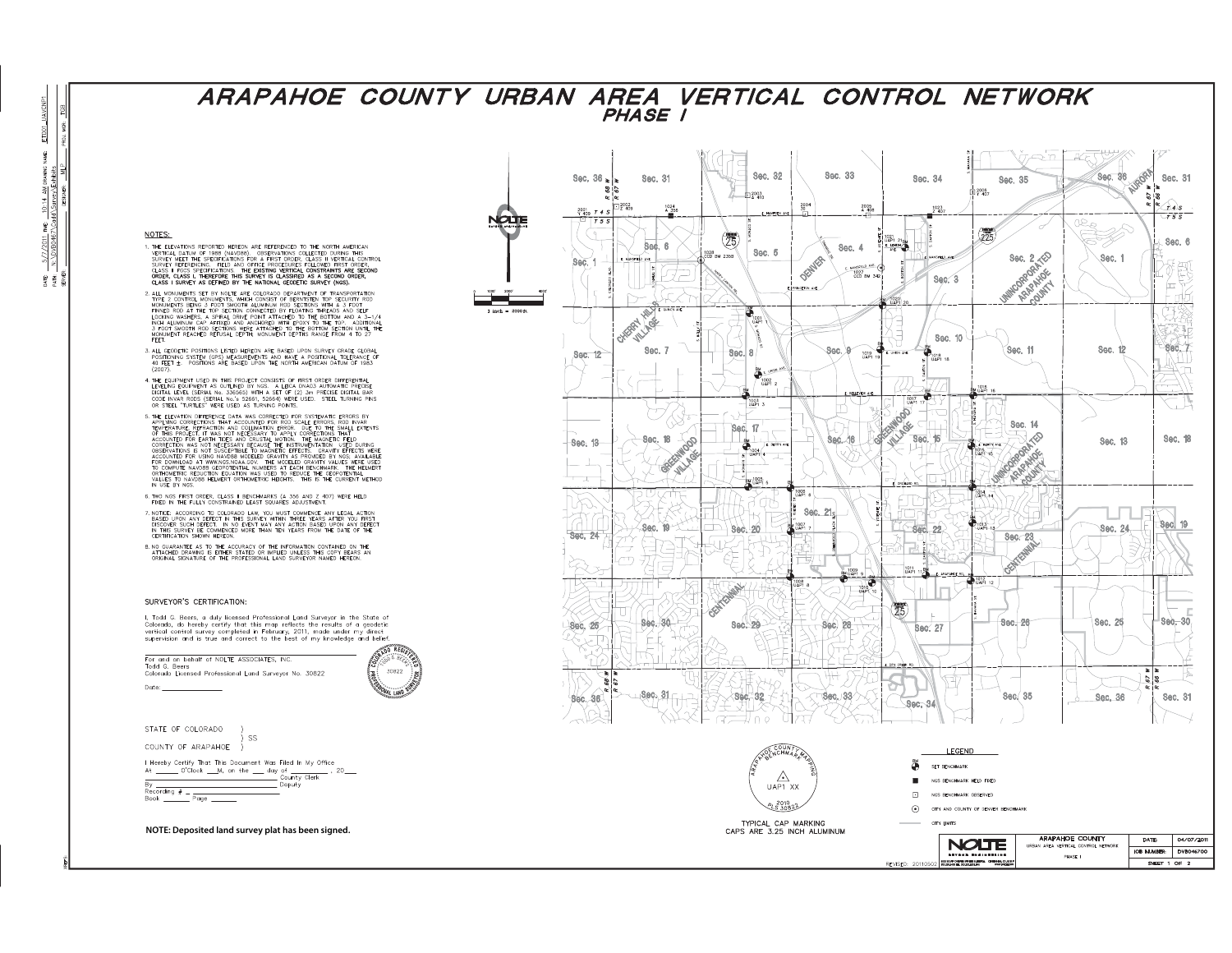## ARAPAHOE COUNTY URBAN AREA VERTICAL CONTROL NETWORK PHASE 1

NOTES:

- 1. THE ELEVATIONS REPORTED HEREON ARE REFERENCED TO THE NORTH AMERICAN<br>VERTICAL DATUM OF 1988 (NAVOBBS) OBSERVATIONS COLLECTED DURNIC THIS<br>SURVEY MEET THE SPECIFICATIONS FOR A FIRST ORDER, CLASS II VERTICAL CONTROL<br>SURVE
- LAASS I SURVEY AS DEFINED BY THE NATIONAL GEODETIC SURVEY (NOS).<br>2. LL MONUMENTS SET BY NOLLTE ARE COLORADO DEPARTIMON OF TRANSPORTATION<br>1. MET 2. CONTROL MONUMENTS, WHICH CONSIST OF BENNITSTEN TOP SCURITY FOOD<br>MONUMENTS B
- 3. ALL GEODETIC POSITIONS LISTED HEREON ARE BASED UPON SURVEY GRADE GLOBAL<br>POSITIONING SYSTEM (GPS) MEASUREMENTS AND HAVE A POSITIONAL TOLERANCE OF<br>40 FEET ±. POSITIONS ARE BASED UPON THE NORTH AMERICAN DATUM OF 1983<br>(2007
- 4. THE EQUIPMENT USED IN THIS PROJECT CONSISTS OF FIRST ORDER DIFFERENTIAL LEVELING COUPMENT AS OUTLINED BY NOS. A LECA DANGA AUTOMATION PRECISE DIGITAL LEVEL (SERIAL No. 338685) WITH A SET OF (2) 3m PRECISE DIGITAL BAR CO
- UN SIELL "TURTLES" WERE USED AS TURNING POINTS.<br>
THE TECHNICAL PRESENCE OF A MANUSCRIPT OF A SYSTEMATIC ERRORS BY THE MANUSCRIPT OF A SYSTEMATIC ERRORS OF THE MANUFORM THAT THE MANUFORM THAT THE MANUFORM THAT A MANUSCRIPT

6. TWO NGS FIRST ORDER, CLASS II BENCHMARKS (A 356 AND Z 407) WERE HELD FIXED IN THE FULLY CONSTRAINED LEAST SQUARES ADJUSTMENT.

- THE TREE TO COLORADO LAW, YOU MUST COMMENCE ANY LEGAL ACTION AND RESERVED UP ON ANY DEFICT IN THIS SURVEY WITHIN THREE YEARS AFTER YOU FIRST ON ANY DEFICT IN THIS SURVEY WITHIN THREE YEARS AFTER YOU FIRST IN THIS SURVEY WI
- 8. NO GUARANTEE AS TO THE ACCURACY OF THE INFORMATION CONTAINED ON THE ATTACHED DRAWING IS EITHERS ATTACHED UNLESS THIS COPY BEARS AND ORIGINAL ATTACHED ORIGINAL ATTACHED ORIGINAL AND ORIGINAL AND ORIGINAL LAND SURVEYOR NA

## SURVEYOR'S CERTIFICATION-

I, Todd G. Beers, a duly licensed Professional Land Surveyor in the State of Colorado, do hereby certify that this map reflects the results of a geodetic soletical control survey completed in February, 2011, made under my